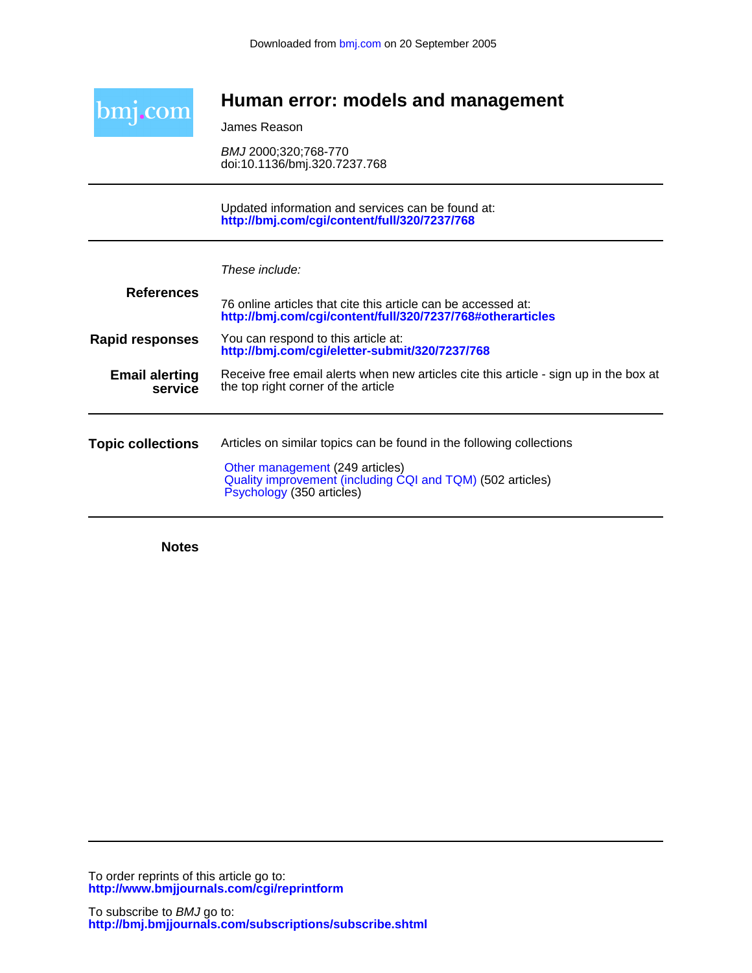

## **Human error: models and management**

James Reason

doi:10.1136/bmj.320.7237.768 BMJ 2000;320;768-770

**<http://bmj.com/cgi/content/full/320/7237/768>** Updated information and services can be found at:

|                                  | These include:                                                                                                               |
|----------------------------------|------------------------------------------------------------------------------------------------------------------------------|
| <b>References</b>                | 76 online articles that cite this article can be accessed at:<br>http://bmj.com/cgi/content/full/320/7237/768#otherarticles  |
| <b>Rapid responses</b>           | You can respond to this article at:<br>http://bmj.com/cgi/eletter-submit/320/7237/768                                        |
| <b>Email alerting</b><br>service | Receive free email alerts when new articles cite this article - sign up in the box at<br>the top right corner of the article |
|                                  |                                                                                                                              |
| <b>Topic collections</b>         | Articles on similar topics can be found in the following collections                                                         |
|                                  | Other management (249 articles)<br>Quality improvement (including CQI and TQM) (502 articles)<br>Psychology (350 articles)   |
|                                  |                                                                                                                              |

**Notes**

**<http://www.bmjjournals.com/cgi/reprintform>** To order reprints of this article go to: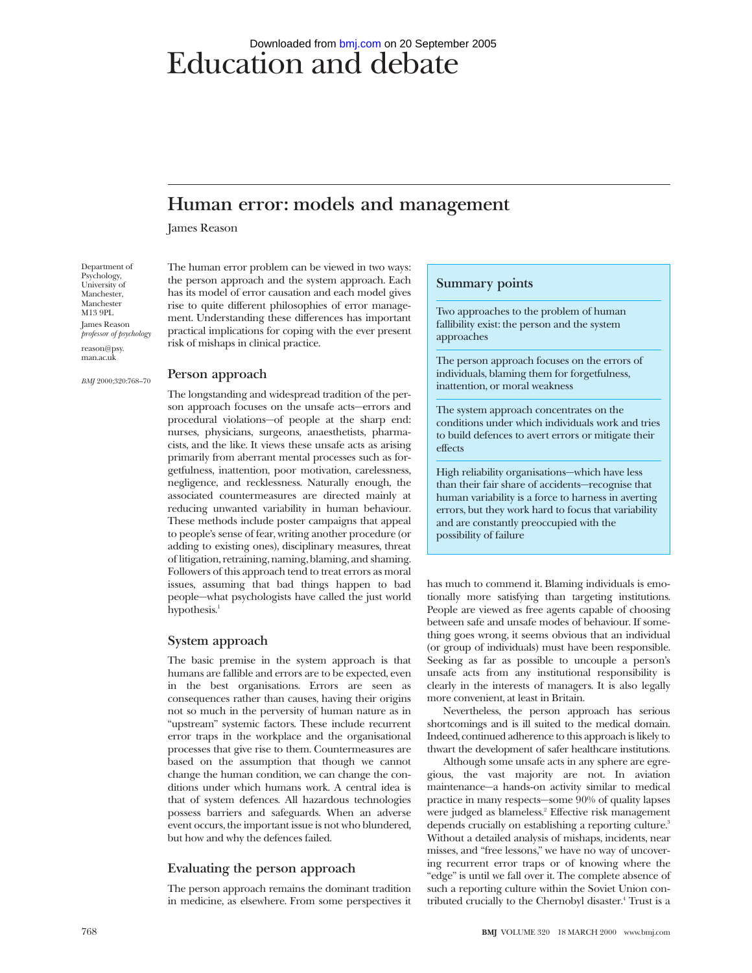# Education and debate Downloaded from [bmj.com](http://bmj.com) on 20 September 2005

## **Human error: models and management**

James Reason

Department of Psychology, University of Manchester, Manchester M13 9PL James Reason *professor of psychology* reason@psy. man.ac.uk

*BMJ* 2000;320:768–70

The human error problem can be viewed in two ways: the person approach and the system approach. Each has its model of error causation and each model gives rise to quite different philosophies of error management. Understanding these differences has important practical implications for coping with the ever present risk of mishaps in clinical practice.

#### **Person approach**

The longstanding and widespread tradition of the person approach focuses on the unsafe acts—errors and procedural violations—of people at the sharp end: nurses, physicians, surgeons, anaesthetists, pharmacists, and the like. It views these unsafe acts as arising primarily from aberrant mental processes such as forgetfulness, inattention, poor motivation, carelessness, negligence, and recklessness. Naturally enough, the associated countermeasures are directed mainly at reducing unwanted variability in human behaviour. These methods include poster campaigns that appeal to people's sense of fear, writing another procedure (or adding to existing ones), disciplinary measures, threat of litigation, retraining, naming, blaming, and shaming. Followers of this approach tend to treat errors as moral issues, assuming that bad things happen to bad people—what psychologists have called the just world hypothesis.<sup>1</sup>

#### **System approach**

The basic premise in the system approach is that humans are fallible and errors are to be expected, even in the best organisations. Errors are seen as consequences rather than causes, having their origins not so much in the perversity of human nature as in "upstream" systemic factors. These include recurrent error traps in the workplace and the organisational processes that give rise to them. Countermeasures are based on the assumption that though we cannot change the human condition, we can change the conditions under which humans work. A central idea is that of system defences. All hazardous technologies possess barriers and safeguards. When an adverse event occurs, the important issue is not who blundered, but how and why the defences failed.

### **Evaluating the person approach**

The person approach remains the dominant tradition in medicine, as elsewhere. From some perspectives it

#### **Summary points**

Two approaches to the problem of human fallibility exist: the person and the system approaches

The person approach focuses on the errors of individuals, blaming them for forgetfulness, inattention, or moral weakness

The system approach concentrates on the conditions under which individuals work and tries to build defences to avert errors or mitigate their effects

High reliability organisations—which have less than their fair share of accidents—recognise that human variability is a force to harness in averting errors, but they work hard to focus that variability and are constantly preoccupied with the possibility of failure

has much to commend it. Blaming individuals is emotionally more satisfying than targeting institutions. People are viewed as free agents capable of choosing between safe and unsafe modes of behaviour. If something goes wrong, it seems obvious that an individual (or group of individuals) must have been responsible. Seeking as far as possible to uncouple a person's unsafe acts from any institutional responsibility is clearly in the interests of managers. It is also legally more convenient, at least in Britain.

Nevertheless, the person approach has serious shortcomings and is ill suited to the medical domain. Indeed, continued adherence to this approach is likely to thwart the development of safer healthcare institutions.

Although some unsafe acts in any sphere are egregious, the vast majority are not. In aviation maintenance—a hands-on activity similar to medical practice in many respects—some 90% of quality lapses were judged as blameless.<sup>2</sup> Effective risk management depends crucially on establishing a reporting culture.<sup>3</sup> Without a detailed analysis of mishaps, incidents, near misses, and "free lessons," we have no way of uncovering recurrent error traps or of knowing where the "edge" is until we fall over it. The complete absence of such a reporting culture within the Soviet Union contributed crucially to the Chernobyl disaster.4 Trust is a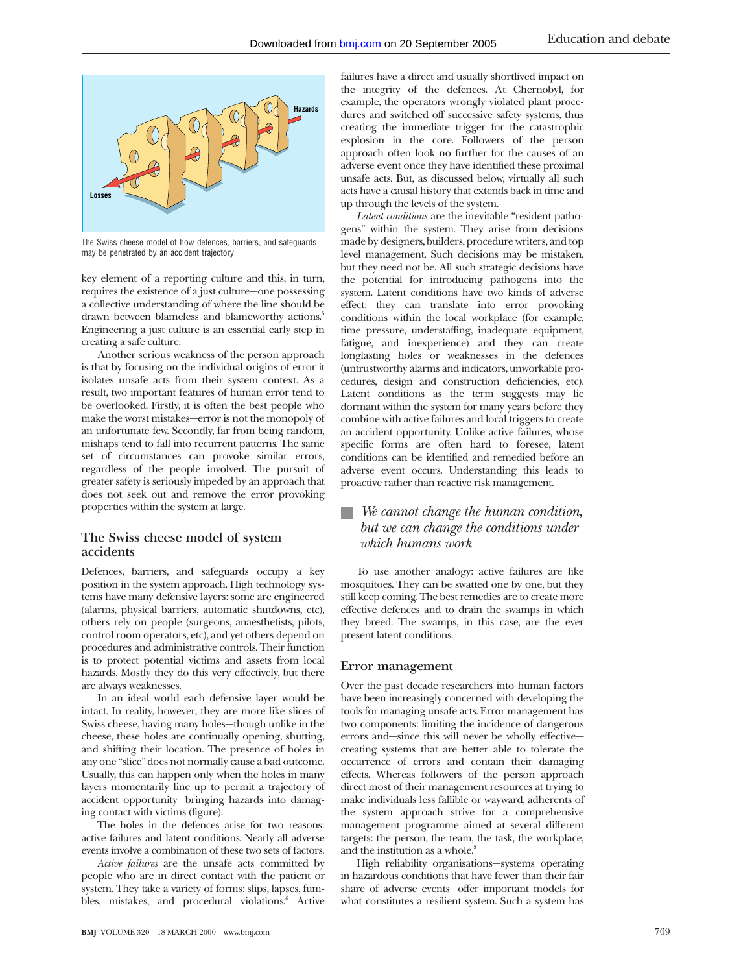

The Swiss cheese model of how defences, barriers, and safeguards may be penetrated by an accident trajectory

key element of a reporting culture and this, in turn, requires the existence of a just culture—one possessing a collective understanding of where the line should be drawn between blameless and blameworthy actions.<sup>5</sup> Engineering a just culture is an essential early step in creating a safe culture.

Another serious weakness of the person approach is that by focusing on the individual origins of error it isolates unsafe acts from their system context. As a result, two important features of human error tend to be overlooked. Firstly, it is often the best people who make the worst mistakes—error is not the monopoly of an unfortunate few. Secondly, far from being random, mishaps tend to fall into recurrent patterns. The same set of circumstances can provoke similar errors, regardless of the people involved. The pursuit of greater safety is seriously impeded by an approach that does not seek out and remove the error provoking properties within the system at large.

#### **The Swiss cheese model of system accidents**

Defences, barriers, and safeguards occupy a key position in the system approach. High technology systems have many defensive layers: some are engineered (alarms, physical barriers, automatic shutdowns, etc), others rely on people (surgeons, anaesthetists, pilots, control room operators, etc), and yet others depend on procedures and administrative controls. Their function is to protect potential victims and assets from local hazards. Mostly they do this very effectively, but there are always weaknesses.

In an ideal world each defensive layer would be intact. In reality, however, they are more like slices of Swiss cheese, having many holes—though unlike in the cheese, these holes are continually opening, shutting, and shifting their location. The presence of holes in any one "slice" does not normally cause a bad outcome. Usually, this can happen only when the holes in many layers momentarily line up to permit a trajectory of accident opportunity—bringing hazards into damaging contact with victims (figure).

The holes in the defences arise for two reasons: active failures and latent conditions. Nearly all adverse events involve a combination of these two sets of factors.

*Active failures* are the unsafe acts committed by people who are in direct contact with the patient or system. They take a variety of forms: slips, lapses, fumbles, mistakes, and procedural violations.<sup>6</sup> Active failures have a direct and usually shortlived impact on the integrity of the defences. At Chernobyl, for example, the operators wrongly violated plant procedures and switched off successive safety systems, thus creating the immediate trigger for the catastrophic explosion in the core. Followers of the person approach often look no further for the causes of an adverse event once they have identified these proximal unsafe acts. But, as discussed below, virtually all such acts have a causal history that extends back in time and up through the levels of the system.

*Latent conditions* are the inevitable "resident pathogens" within the system. They arise from decisions made by designers, builders, procedure writers, and top level management. Such decisions may be mistaken, but they need not be. All such strategic decisions have the potential for introducing pathogens into the system. Latent conditions have two kinds of adverse effect: they can translate into error provoking conditions within the local workplace (for example, time pressure, understaffing, inadequate equipment, fatigue, and inexperience) and they can create longlasting holes or weaknesses in the defences (untrustworthy alarms and indicators, unworkable procedures, design and construction deficiencies, etc). Latent conditions—as the term suggests—may lie dormant within the system for many years before they combine with active failures and local triggers to create an accident opportunity. Unlike active failures, whose specific forms are often hard to foresee, latent conditions can be identified and remedied before an adverse event occurs. Understanding this leads to proactive rather than reactive risk management.

## *We cannot change the human condition, but we can change the conditions under which humans work*

To use another analogy: active failures are like mosquitoes. They can be swatted one by one, but they still keep coming. The best remedies are to create more effective defences and to drain the swamps in which they breed. The swamps, in this case, are the ever present latent conditions.

#### **Error management**

Over the past decade researchers into human factors have been increasingly concerned with developing the tools for managing unsafe acts. Error management has two components: limiting the incidence of dangerous errors and—since this will never be wholly effective creating systems that are better able to tolerate the occurrence of errors and contain their damaging effects. Whereas followers of the person approach direct most of their management resources at trying to make individuals less fallible or wayward, adherents of the system approach strive for a comprehensive management programme aimed at several different targets: the person, the team, the task, the workplace, and the institution as a whole.<sup>3</sup>

High reliability organisations—systems operating in hazardous conditions that have fewer than their fair share of adverse events—offer important models for what constitutes a resilient system. Such a system has